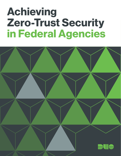# Achieving Zero‑Trust Security in Federal Agencies

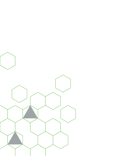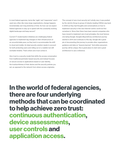In most federal agencies, terms like "agile" and "responsive" aren't used very often; like many large organizations, change happens incrementally over long stretches of time. So how can we expect federal agencies to stay up to speed with the constantly evolving digital landscape and keep secure?

Current IT modernization initiatives are challenging federal agencies to implement big changes to their infrastructure at an uncomfortable pace, as they look to accommodate the shift to cloud and mobile. An ideal security solution needs to account for both protecting users and rolling out on a realistic but still workable timeline. That's where zero trust comes in.

Zero trust is a security model that shifts the access conversation from traditional perimeter-based security and instead focuses on secure access to applications based on user identity, the trustworthiness of their device and the security policies you set, as opposed to the network from where access originates.

The concept of zero-trust security isn't wholly new, it was posited by the Jericho Group (a group of industry leading CISOs) way back in 2005 as they had thoughts and conversations on how to implement security in this new Internet-centric world we find ourselves in. Since then there have been several companies who have moved to implement zero-trust principles, the most famous one being Google. Google's BeyondCorp architecture journey started in 2014 and continues to this day. Google did a great job of documenting this journey to provide other organizations guidance and data on "lessons learned." And while everyone's journey will be unique, this is great place to start and a great architecture to use a reference.

### In the world of federal agencies, there are four underlying methods that can be coordinated to help achieve zero trust: continuous authentication, device assessments, user controls and application access.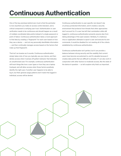# Continuous Authentication

One of the key premises behind zero trust is that the perimeter is now anywhere you make an access control decision, and a critical component is verifying user trust. Authentication or user verification needs to be continuous and should happen as a result of multiple coordinated data points instead of a single password or point of failure. Continuous authentication takes a novel approach to that idea by creating a "fingerprint" for each user based on how they use a device — and not any personally identifiable information — and then continually manages access based on the factors that make up that fingerprint.

That isn't as invasive as it sounds. Continuous authentication simply takes note of how you typically use your device, and then denies access when it senses off-pattern behavior that indicates an unauthorized user. For example, continuous authentication will track things like how a user types or how they use a laptop trackpad, and will allow access when those factors positively identify the right user; if another user happens to be able to log in, but their general usage patterns don't match the logged in individual, access will be denied.

Continuous authentication is user-specific, but doesn't rely on privacy-protected information, and it creates a security environment that protects from threats that other approaches don't account for. If a user has left their workstation while still logged in, continuous authentication prevents anyone else from taking advantage of the open session. Similarly, if a malicious virus or application attempts to spoof a user and execute its own commands, it would be disabled for not meeting all of the criteria established by continuous authentication.

Continuous authentication isn't perfect, but it can provide a balance between strong security and the usability that current users have become accustomed to, *and* it's valuable because it creates data points that are difficult to simulate. IT can also work in conjunction with other factors to moderate access, like the state of the device in question  $-$  so let's explore why that's so important.

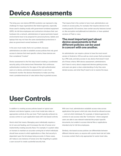### Device Assessments

The bring your own device (BYOD) revolution can represent a big challenge for large organizations like federal agencies, especially those used to dealing mostly with government furnished equipment (GFE). As full-time employees and contractors introduce their own hardware into a network, administrators in typical perimeter-based environments have to be prepared for personal phones, tablets and laptops that may not have the same standardized protections in place as government-owned hardware or GFE.

In the zero-trust model, that's not a problem, because administrators are able to establish access policies that only grant access to devices that meet specific criteria, these devices are then considered "trusted."

Device assessment is the first step toward creating a coordinated security policy at the device level. Remember that continuous authentication monitors for the signs of the right authenticated users on a device, and device assessments in a zero-trust framework monitor the devices themselves to make sure they meet a predetermined set of rules before they're granted access.

That means that in the context of zero trust, administrators can create an access policy, for example, that requires devices to be running specific OS versions, have certain security features turned on, like encryption and jailbreak/root detection, or have updated versions of Flash or Java.

#### The most important part about device assessments is that different policies can be used in concert with one another.

An administrator can require a phone to have the most recent version of Android or iOS as well as a lock screen that's protected by a PIN code, and deny access to any device that doesn't meet all of those criteria. With device assessment, administrators don't have to worry about unapproved devices gaining access, and users are given a clear understanding of why they were denied access, and what they'll need to do to resolve the issue.

### User Controls

In addition to creating access policies based on typical user behavior and device hygiene, a zero-trust model also relies on appropriate controls at the user level. That's typically achieved via access control on a per-application basis with role-based controls.

Here's what that means. Managing users individually requires a lot of care and feeding, and it increases the risk of human error inadvertently creating security flaws. For example, if a system relies on humans to maintain an accurate running list of which individuals should have access to which applications or files, that security is dependent upon the list always being accurate. In these cases, all it takes is one instance of human error like forgetting to update a user account to create a potential security hole.

With zero trust, administrators establish access roles across applications that govern which job roles should be allowed access — and not which individuals. For example, in federal agencies it's common to see access roles like "Contractor," where assigned users are able to see relevant materials like project-specific documents, but unable to access internal files or applications intended only for full-time employees.

Similarly, role-based access policies can differentiate between different internal users, so anyone with a junior-level role isn't able to access content that's only appropriate for senior-level roles.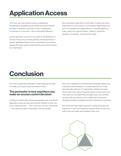# Application Access

At its core, zero trust is about access to applications. All applications. Establishing user identity and device trust set the table for seamless and secure access to applications – on-premises or in the cloud – with no discernible difference.

Secure application access from any device is the destination of the zero-trust journey. Providing granular, role-based access to specific applications based on your customized access policies reduces the attack surface should both the user and their device be compromised.

Zero trust doesn't mean that no trust exists. It means that trust is determined on a narrow path to a successfully authenticated user from a successfully interrogated device to a specific application. It also means that network location – inside vs. outside the perimeter, for example – isn't part of the recipe.

## **Conclusion**

Zero trust is absolutely achievable in federal agencies; to make it a reality, you'll need to keep three ideas in focus:

#### The perimeter is now anywhere you make an access control decision.

Continuous authentication, device assessments, user controls and application access are each good security methods on their own, but for optimal security — and to count as a true zero-trust model — they need to be used in coordination with one another.

Zero trust is designed to let administrators gradually migrate from a perimeter-based framework, so federal agencies can create plans that align with their IT modernization initiatives and allow them to take action without requiring massive changes all at once. This means you can apply these principles today, now, and they can grow with your agency on your mobile and cloud journey; effectively providing a seamless security architecture for the future.

Duo works with many federal agencies to advise and assist with migration to a zero-trust framework using Duo Beyond, which was built on the core tenets and principles of zero trust.

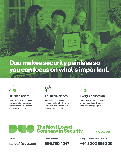

### Duo makes security painless so you can focus on what's important.



### Trusted Users

Verify user identities with advanced two-factor authentication, and enforce user access policies to limit access to applications.



#### Trusted Devices

Duo checks the security health of your users' devices. Block, warn or notify users of risky devices with our device access policies.



### Every Application

Protect both cloud and on-premise applications, and simplify access with our secure single sign-on.





Email sales@duo.com North America

866.760.4247

Europe, Middle East & Africa